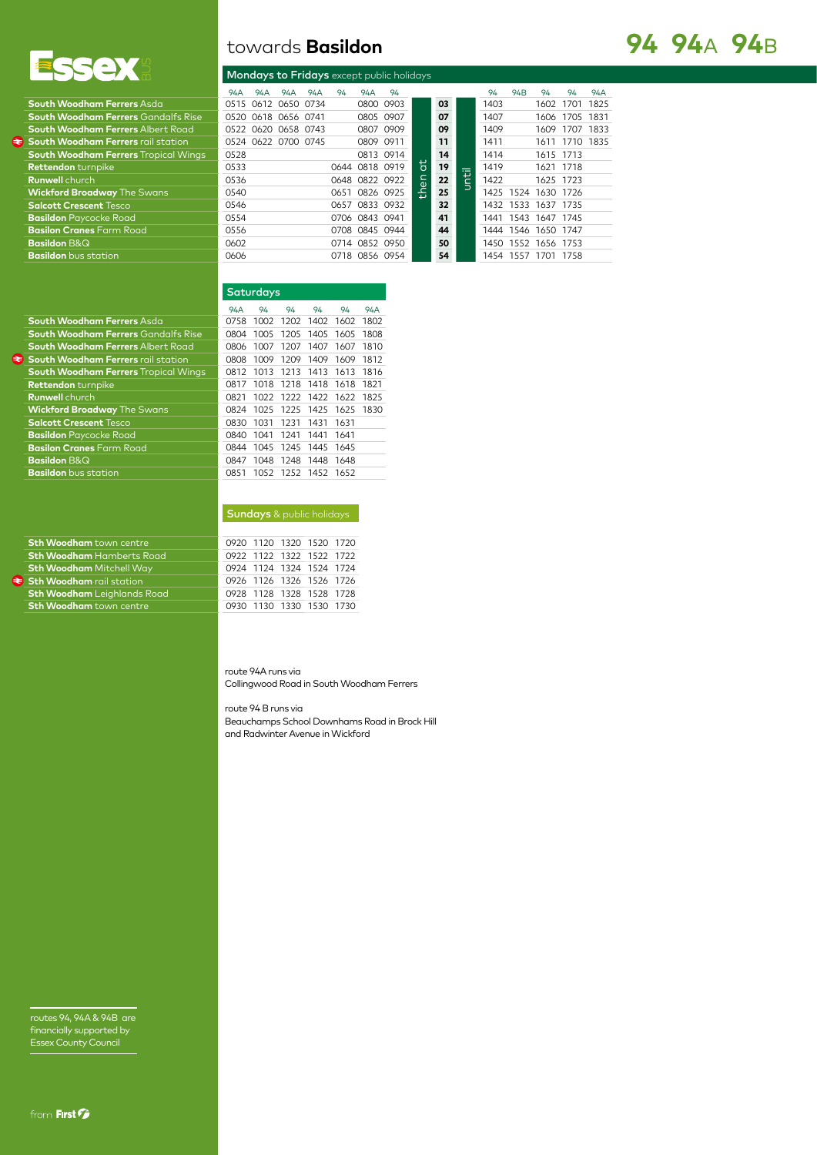

|                                             | $-$  |                     |  |                | $\overline{\phantom{a}}$ |
|---------------------------------------------|------|---------------------|--|----------------|--------------------------|
| South Woodham Ferrers Asda                  |      | 0515 0612 0650 0734 |  | 0800 0903      |                          |
| <b>South Woodham Ferrers Gandalfs Rise</b>  |      | 0520 0618 0656 0741 |  | 0805 0907      |                          |
| <b>South Woodham Ferrers Albert Road</b>    |      | 0522 0620 0658 0743 |  | 0807 0909      |                          |
| <b>South Woodham Ferrers</b> rail station   |      | 0524 0622 0700 0745 |  | 0809 0911      |                          |
| <b>South Woodham Ferrers Tropical Wings</b> | 0528 |                     |  | 0813 0914      |                          |
| <b>Rettendon</b> turnpike                   | 0533 |                     |  | 0644 0818 0919 |                          |
| <b>Runwell</b> church                       | 0536 |                     |  | 0648 0822 0922 |                          |
| <b>Wickford Broadway</b> The Swans          | 0540 |                     |  | 0651 0826 0925 |                          |
| <b>Salcott Crescent Tesco</b>               | 0546 |                     |  | 0657 0833 0932 |                          |
| <b>Basildon</b> Paycocke Road               | 0554 |                     |  | 0706 0843 0941 |                          |
| <b>Basilon Cranes</b> Farm Road             | 0556 |                     |  | 0708 0845 0944 |                          |
| <b>Basildon B&amp;Q</b>                     | 0602 |                     |  | 0714 0852 0950 |                          |
| <b>Basildon</b> bus station                 | 0606 |                     |  | 0718 0856 0954 |                          |
|                                             |      |                     |  |                |                          |

### Mondays to Fridays except public holidays

| <b>94A</b> | 94A | 94A | <b>94A</b> | 94                                                                             | 94A | 94   |                                                                                                                                                                                                          |                        |     | 94    | 94 <sub>B</sub> | 94                                        | 94   | <b>94A</b>                                                                                                                                            |
|------------|-----|-----|------------|--------------------------------------------------------------------------------|-----|------|----------------------------------------------------------------------------------------------------------------------------------------------------------------------------------------------------------|------------------------|-----|-------|-----------------|-------------------------------------------|------|-------------------------------------------------------------------------------------------------------------------------------------------------------|
|            |     |     |            |                                                                                |     |      |                                                                                                                                                                                                          | 03                     |     | 1403  |                 | 1602                                      | 1701 | 1825                                                                                                                                                  |
| 0520       |     |     |            |                                                                                |     |      |                                                                                                                                                                                                          | 07                     |     | 1407  |                 | 1606                                      |      |                                                                                                                                                       |
| 0522       |     |     |            |                                                                                |     |      |                                                                                                                                                                                                          | 09                     |     | 1409  |                 | 1609                                      |      |                                                                                                                                                       |
|            |     |     |            |                                                                                |     |      |                                                                                                                                                                                                          | 11                     |     | 1411  |                 |                                           |      |                                                                                                                                                       |
| 0528       |     |     |            |                                                                                |     |      |                                                                                                                                                                                                          | 14                     |     | 1414  |                 |                                           |      |                                                                                                                                                       |
| 0533       |     |     |            |                                                                                |     |      |                                                                                                                                                                                                          | 19                     | $=$ | 1419  |                 |                                           |      |                                                                                                                                                       |
| 0536       |     |     |            |                                                                                |     |      |                                                                                                                                                                                                          | 22                     |     | 1422  |                 |                                           |      |                                                                                                                                                       |
| 0540       |     |     |            |                                                                                |     |      |                                                                                                                                                                                                          | 25                     |     | 1425  |                 |                                           |      |                                                                                                                                                       |
| 0546       |     |     |            |                                                                                |     |      |                                                                                                                                                                                                          | 32                     |     |       |                 |                                           |      |                                                                                                                                                       |
| 0554       |     |     |            |                                                                                |     |      |                                                                                                                                                                                                          | 41                     |     | 1441  |                 |                                           |      |                                                                                                                                                       |
| 0556       |     |     |            |                                                                                |     |      |                                                                                                                                                                                                          | 44                     |     | 1444  |                 |                                           |      |                                                                                                                                                       |
| 0602       |     |     |            |                                                                                |     |      |                                                                                                                                                                                                          | 50                     |     | 1450. |                 |                                           |      |                                                                                                                                                       |
| 0606       |     |     |            |                                                                                |     |      |                                                                                                                                                                                                          | 54                     |     | 1454  |                 | 1701                                      | 1758 |                                                                                                                                                       |
|            |     |     |            | 0515 0612 0650 0734<br>0618 0656 0741<br>0620 0658 0743<br>0524 0622 0700 0745 |     | 0651 | 0800 0903<br>0805 0907<br>0807 0909<br>0809 0911<br>0813 0914<br>0644 0818 0919<br>0648 0822 0922<br>0826 0925<br>0657 0833 0932<br>0706 0843 0941<br>0708 0845 0944<br>0714 0852 0950<br>0718 0856 0954 | $\overline{a}$<br>then |     |       |                 | 1524<br>1432 1533<br>1543<br>1552<br>1557 |      | 1705 1831<br>1707 1833<br>1611 1710 1835<br>1615 1713<br>1621 1718<br>1625 1723<br>1630 1726<br>1637 1735<br>1647 1745<br>1546 1650 1747<br>1656 1753 |

**94 94**A **94**B

|                                             | <u>Jutuluu ya</u> |      |      |                     |                          |      |  |  |  |
|---------------------------------------------|-------------------|------|------|---------------------|--------------------------|------|--|--|--|
|                                             | <b>94A</b>        | 94   | 94   | 94                  | 94                       | 94A  |  |  |  |
| South Woodham Ferrers Asda                  | 0758              | 1002 |      |                     | 1202 1402 1602           | 1802 |  |  |  |
| <b>South Woodham Ferrers Gandalfs Rise</b>  | 0804              | 1005 |      | 1205 1405 1605      |                          | 1808 |  |  |  |
| <b>South Woodham Ferrers Albert Road</b>    | 0806              | 1007 |      |                     | 1207 1407 1607           | 1810 |  |  |  |
| <b>South Woodham Ferrers rail station</b>   | 0808              | 1009 |      | 1209 1409 1609      |                          | 1812 |  |  |  |
| <b>South Woodham Ferrers Tropical Wings</b> | O812              |      |      |                     | 1013 1213 1413 1613 1816 |      |  |  |  |
| <b>Rettendon</b> turnpike                   | 0817              |      |      | 1018 1218 1418 1618 |                          | 1821 |  |  |  |
| <b>Runwell</b> church                       | 0821              | 1022 |      | 1222 1422 1622      |                          | 1825 |  |  |  |
| <b>Wickford Broadway</b> The Swans          | 0824              |      |      |                     | 1025 1225 1425 1625 1830 |      |  |  |  |
| <b>Salcott Crescent Tesco</b>               | 0830              | 1031 | 1231 | 1431                | 1631                     |      |  |  |  |
| <b>Basildon</b> Paycocke Road               | 0840              | 1041 |      | 1241 1441           | 1641                     |      |  |  |  |
| <b>Basilon Cranes</b> Farm Road             | 0844              | 1045 |      | 1245 1445 1645      |                          |      |  |  |  |
| <b>Basildon B&amp;Q</b>                     | 0847              | 1048 |      | 1248 1448           | 1648                     |      |  |  |  |
| <b>Basildon</b> bus station                 | 0851              |      |      | 1052 1252 1452 1652 |                          |      |  |  |  |

| <b>Sth Woodham</b> town centre     |  | 0920 1120 1320 1520 1720 |  |
|------------------------------------|--|--------------------------|--|
| <b>Sth Woodham</b> Hamberts Road   |  | 0922 1122 1322 1522 1722 |  |
| <b>Sth Woodham</b> Mitchell Way    |  | 0924 1124 1324 1524 1724 |  |
| <b>Sth Woodham</b> rail station    |  | 0926 1126 1326 1526 1726 |  |
| <b>Sth Woodham</b> Leighlands Road |  | 0928 1128 1328 1528 1728 |  |
| <b>Sth Woodham</b> town centre     |  | 0930 1130 1330 1530 1730 |  |

### Saturdays **South Woodham Ferrers** Gandalfs Rise 0804 1005 1205 1405 1605 1808 **South Woodham Ferrers** Albert Road 0806 1007 1207 1407 1607 1810 **South Woodham Ferrers** rail station 0808 1009 1209 1409 1609 1812 **South Woodham Ferrers** Tropical Wings 0812 1013 1213 1413 1613 1816 **Rettendon** turnpike 0817 1018 1218 1418 1618 1821 **Runwell** church 0821 1022 1222 1422 1622 1825 **Wickford Broadway** The Swans 0824 1025 1225 1425 1625 1830 **Salcott Crescent** Tesco 0830 1031 1231 1431 1631 **Basildon** Paycocke Road 0840 1041 1241 1441 1641 **Basildon** bus station 0851 1052 1252 1452 1652

### Sundays & public holidays

|  | 0920 1120 1320 1520 1720 |  |
|--|--------------------------|--|
|  | 0922 1122 1322 1522 1722 |  |
|  | 0924 1124 1324 1524 1724 |  |
|  | 0926 1126 1326 1526 1726 |  |
|  | 0928 1128 1328 1528 1728 |  |
|  | 0930 1130 1330 1530 1730 |  |

route 94A runs via Collingwood Road in South Woodham Ferrers

route 94 B runs via Beauchamps School Downhams Road in Brock Hill and Radwinter Avenue in Wickford

routes 94, 94A & 94B are financially supported by Essex County Council